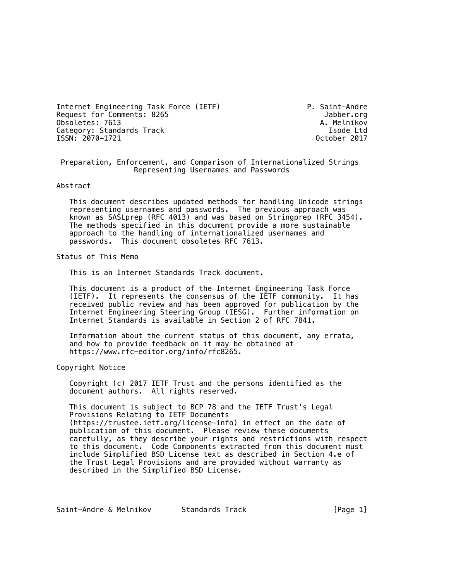Internet Engineering Task Force (IETF) P. Saint-Andre Request for Comments: 8265 and the community of the community of the community of the community of the community of the community of the community of the community of the community of the community of the community of the Obsoletes: 7613<br>Category: Standards Track Category: Standards Track Category: A. Melnikov Category: Standards Track and the control of the category: Standards Track and the control of the control of t<br>ISSN: 2070-1721 and the control of the control of the control of the control of the control of the control of ISSN: 2070-1721

 Preparation, Enforcement, and Comparison of Internationalized Strings Representing Usernames and Passwords

#### Abstract

 This document describes updated methods for handling Unicode strings representing usernames and passwords. The previous approach was known as SASLprep (RFC 4013) and was based on Stringprep (RFC 3454). The methods specified in this document provide a more sustainable approach to the handling of internationalized usernames and passwords. This document obsoletes RFC 7613.

Status of This Memo

This is an Internet Standards Track document.

 This document is a product of the Internet Engineering Task Force (IETF). It represents the consensus of the IETF community. It has received public review and has been approved for publication by the Internet Engineering Steering Group (IESG). Further information on Internet Standards is available in Section 2 of RFC 7841.

 Information about the current status of this document, any errata, and how to provide feedback on it may be obtained at https://www.rfc-editor.org/info/rfc8265.

Copyright Notice

 Copyright (c) 2017 IETF Trust and the persons identified as the document authors. All rights reserved.

 This document is subject to BCP 78 and the IETF Trust's Legal Provisions Relating to IETF Documents (https://trustee.ietf.org/license-info) in effect on the date of publication of this document. Please review these documents carefully, as they describe your rights and restrictions with respect to this document. Code Components extracted from this document must include Simplified BSD License text as described in Section 4.e of the Trust Legal Provisions and are provided without warranty as described in the Simplified BSD License.

Saint-Andre & Melnikov Standards Track [Page 1]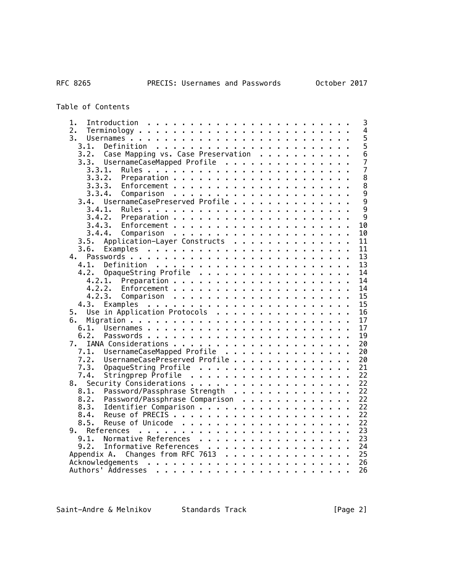Table of Contents

| 1.                                                                                                                                                                                                                                                             | 3              |
|----------------------------------------------------------------------------------------------------------------------------------------------------------------------------------------------------------------------------------------------------------------|----------------|
| 2.                                                                                                                                                                                                                                                             | $\overline{4}$ |
| 3.                                                                                                                                                                                                                                                             | 5              |
| 3.1.<br>Definition                                                                                                                                                                                                                                             | $\overline{5}$ |
| Case Mapping vs. Case Preservation<br>3.2.                                                                                                                                                                                                                     | $\overline{6}$ |
| 3.3.<br>UsernameCaseMapped Profile                                                                                                                                                                                                                             | $\overline{7}$ |
| 3.3.1.                                                                                                                                                                                                                                                         | $\overline{7}$ |
| 3.3.2.                                                                                                                                                                                                                                                         | 8              |
| 3.3.3.                                                                                                                                                                                                                                                         | 8              |
| 3.3.4.<br>Comparison                                                                                                                                                                                                                                           | 9              |
| UsernameCasePreserved Profile<br>3.4.                                                                                                                                                                                                                          | $\overline{9}$ |
| 3.4.1.                                                                                                                                                                                                                                                         | $\overline{9}$ |
| 3.4.2.                                                                                                                                                                                                                                                         | 9              |
| 10<br>3.4.3.                                                                                                                                                                                                                                                   |                |
| 10<br>3.4.4.                                                                                                                                                                                                                                                   |                |
| Application-Layer Constructs<br>11<br>3.5.                                                                                                                                                                                                                     |                |
| 3.6.<br>11                                                                                                                                                                                                                                                     |                |
| 13<br>4.                                                                                                                                                                                                                                                       |                |
| 13<br>4.1.                                                                                                                                                                                                                                                     |                |
| OpaqueString Profile<br>14<br>4.2.                                                                                                                                                                                                                             |                |
| 14<br>4.2.1.                                                                                                                                                                                                                                                   |                |
| 4.2.2.<br>14                                                                                                                                                                                                                                                   |                |
| Comparison<br>15<br>4.2.3.<br>$\sim$ $\sim$<br>$\mathbf{r}$                                                                                                                                                                                                    |                |
| 15<br>. The contract of the contract of the contract of the contract of the contract of the contract of the contract of the contract of the contract of the contract of the contract of the contract of the contract of the contrac<br>4.3.<br>Examples        |                |
| Use in Application Protocols<br>16<br>5.                                                                                                                                                                                                                       |                |
| 17<br>6.                                                                                                                                                                                                                                                       |                |
| 17<br>6.1.                                                                                                                                                                                                                                                     |                |
| 19<br>6.2.                                                                                                                                                                                                                                                     |                |
| 20<br>7.                                                                                                                                                                                                                                                       |                |
| 20                                                                                                                                                                                                                                                             |                |
| UsernameCaseMapped Profile<br>7.1.                                                                                                                                                                                                                             |                |
| 7.2.<br>UsernameCasePreserved Profile<br>20<br>21                                                                                                                                                                                                              |                |
| 7.3.<br>OpaqueString Profile                                                                                                                                                                                                                                   |                |
| Stringprep Profile<br>22<br>7.4.                                                                                                                                                                                                                               |                |
| Security Considerations<br>22<br>8.                                                                                                                                                                                                                            |                |
| 22<br>Password/Passphrase Strength<br>8.1.                                                                                                                                                                                                                     |                |
| 22<br>8.2.<br>Password/Passphrase Comparison                                                                                                                                                                                                                   |                |
| 22<br>8.3.<br>Identifier Comparison                                                                                                                                                                                                                            |                |
| 22<br>8.4.                                                                                                                                                                                                                                                     |                |
| 22<br>8.5.                                                                                                                                                                                                                                                     |                |
| 23<br>9.                                                                                                                                                                                                                                                       |                |
| 23<br>Normative References<br>9.1.                                                                                                                                                                                                                             |                |
| 24<br>Informative References<br>9.2.                                                                                                                                                                                                                           |                |
| 25<br>Appendix A. Changes from RFC 7613                                                                                                                                                                                                                        |                |
| 26<br>Acknowledgements<br><u>. In the contract of the contract of the contract of the contract of the contract of the contract of the contract of the contract of the contract of the contract of the contract of the contract of the contract of the cont</u> |                |
| 26<br>Authors' Addresses<br>and a series and<br>and a series and a series<br>$\mathbf{r}$                                                                                                                                                                      |                |

Saint-Andre & Melnikov Standards Track [Page 2]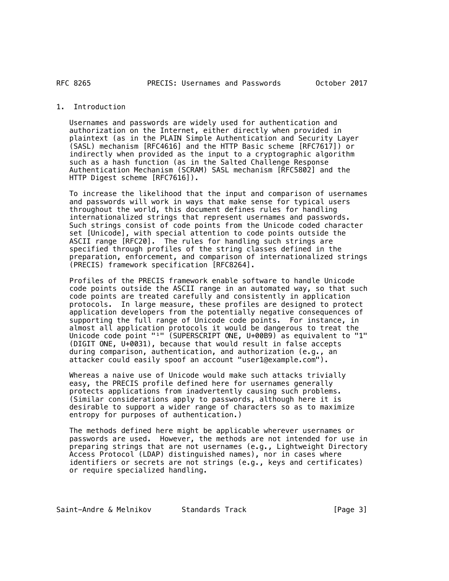### RFC 8265

### 1. Introduction

 Usernames and passwords are widely used for authentication and authorization on the Internet, either directly when provided in plaintext (as in the PLAIN Simple Authentication and Security Layer (SASL) mechanism [RFC4616] and the HTTP Basic scheme [RFC7617]) or indirectly when provided as the input to a cryptographic algorithm such as a hash function (as in the Salted Challenge Response Authentication Mechanism (SCRAM) SASL mechanism [RFC5802] and the HTTP Digest scheme [RFC7616]).

 To increase the likelihood that the input and comparison of usernames and passwords will work in ways that make sense for typical users throughout the world, this document defines rules for handling internationalized strings that represent usernames and passwords. Such strings consist of code points from the Unicode coded character set [Unicode], with special attention to code points outside the ASCII range [RFC20]. The rules for handling such strings are specified through profiles of the string classes defined in the preparation, enforcement, and comparison of internationalized strings (PRECIS) framework specification [RFC8264].

 Profiles of the PRECIS framework enable software to handle Unicode code points outside the ASCII range in an automated way, so that such code points are treated carefully and consistently in application protocols. In large measure, these profiles are designed to protect application developers from the potentially negative consequences of supporting the full range of Unicode code points. For instance, in almost all application protocols it would be dangerous to treat the Unicode code point "<sup>1</sup>" (SUPERSCRIPT ONE, U+00B9) as equivalent to "1" (DIGIT ONE, U+0031), because that would result in false accepts during comparison, authentication, and authorization (e.g., an attacker could easily spoof an account "user1@example.com").

 Whereas a naive use of Unicode would make such attacks trivially easy, the PRECIS profile defined here for usernames generally protects applications from inadvertently causing such problems. (Similar considerations apply to passwords, although here it is desirable to support a wider range of characters so as to maximize entropy for purposes of authentication.)

 The methods defined here might be applicable wherever usernames or passwords are used. However, the methods are not intended for use in preparing strings that are not usernames (e.g., Lightweight Directory Access Protocol (LDAP) distinguished names), nor in cases where identifiers or secrets are not strings (e.g., keys and certificates) or require specialized handling.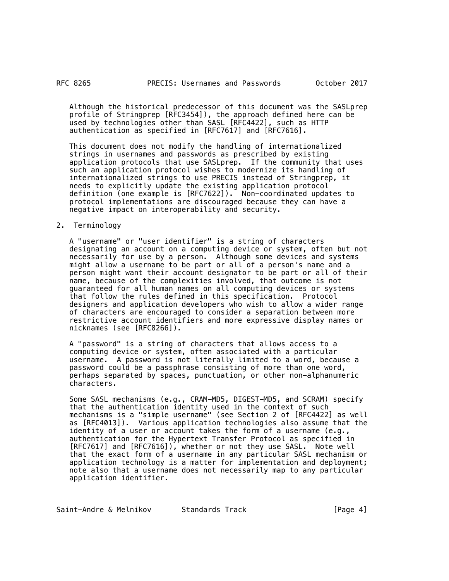Although the historical predecessor of this document was the SASLprep profile of Stringprep [RFC3454]), the approach defined here can be used by technologies other than SASL [RFC4422], such as HTTP authentication as specified in [RFC7617] and [RFC7616].

 This document does not modify the handling of internationalized strings in usernames and passwords as prescribed by existing application protocols that use SASLprep. If the community that uses such an application protocol wishes to modernize its handling of internationalized strings to use PRECIS instead of Stringprep, it needs to explicitly update the existing application protocol definition (one example is [RFC7622]). Non-coordinated updates to protocol implementations are discouraged because they can have a negative impact on interoperability and security.

### 2. Terminology

 A "username" or "user identifier" is a string of characters designating an account on a computing device or system, often but not necessarily for use by a person. Although some devices and systems might allow a username to be part or all of a person's name and a person might want their account designator to be part or all of their name, because of the complexities involved, that outcome is not guaranteed for all human names on all computing devices or systems that follow the rules defined in this specification. Protocol designers and application developers who wish to allow a wider range of characters are encouraged to consider a separation between more restrictive account identifiers and more expressive display names or nicknames (see [RFC8266]).

 A "password" is a string of characters that allows access to a computing device or system, often associated with a particular username. A password is not literally limited to a word, because a password could be a passphrase consisting of more than one word, perhaps separated by spaces, punctuation, or other non-alphanumeric characters.

 Some SASL mechanisms (e.g., CRAM-MD5, DIGEST-MD5, and SCRAM) specify that the authentication identity used in the context of such mechanisms is a "simple username" (see Section 2 of [RFC4422] as well as [RFC4013]). Various application technologies also assume that the identity of a user or account takes the form of a username (e.g., authentication for the Hypertext Transfer Protocol as specified in [RFC7617] and [RFC7616]), whether or not they use SASL. Note well that the exact form of a username in any particular SASL mechanism or application technology is a matter for implementation and deployment; note also that a username does not necessarily map to any particular application identifier.

Saint-Andre & Melnikov Standards Track [Page 4]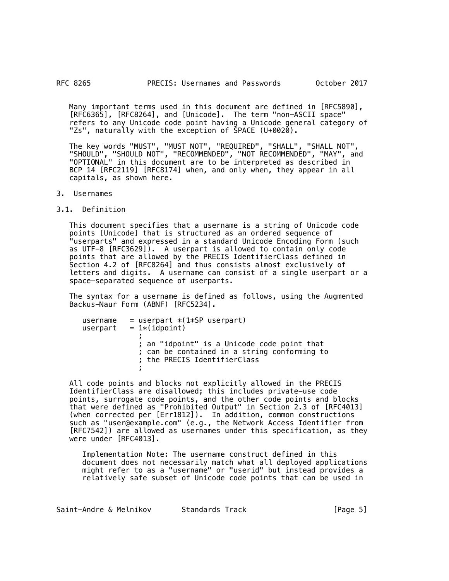#### RFC 8265 **PRECIS: Usernames and Passwords October 2017**

 Many important terms used in this document are defined in [RFC5890], [RFC6365], [RFC8264], and [Unicode]. The term "non-ASCII space" refers to any Unicode code point having a Unicode general category of "Zs", naturally with the exception of SPACE (U+0020).

 The key words "MUST", "MUST NOT", "REQUIRED", "SHALL", "SHALL NOT", "SHOULD", "SHOULD NOT", "RECOMMENDED", "NOT RECOMMENDED", "MAY", and "OPTIONAL" in this document are to be interpreted as described in BCP 14 [RFC2119] [RFC8174] when, and only when, they appear in all capitals, as shown here.

# 3. Usernames

3.1. Definition

 This document specifies that a username is a string of Unicode code points [Unicode] that is structured as an ordered sequence of "userparts" and expressed in a standard Unicode Encoding Form (such as UTF-8 [RFC3629]). A userpart is allowed to contain only code points that are allowed by the PRECIS IdentifierClass defined in Section 4.2 of [RFC8264] and thus consists almost exclusively of letters and digits. A username can consist of a single userpart or a space-separated sequence of userparts.

 The syntax for a username is defined as follows, using the Augmented Backus-Naur Form (ABNF) [RFC5234].

| username | $=$ userpart $*(1*SP$ userpart)                                                                                             |
|----------|-----------------------------------------------------------------------------------------------------------------------------|
| userpart | $= 1*(idpoint)$                                                                                                             |
|          | ; an "idpoint" is a Unicode code point that<br>; can be contained in a string conforming to<br>; the PRECIS IdentifierClass |

 All code points and blocks not explicitly allowed in the PRECIS IdentifierClass are disallowed; this includes private-use code points, surrogate code points, and the other code points and blocks that were defined as "Prohibited Output" in Section 2.3 of [RFC4013] (when corrected per [Err1812]). In addition, common constructions such as "user@example.com" (e.g., the Network Access Identifier from [RFC7542]) are allowed as usernames under this specification, as they were under [RFC4013].

 Implementation Note: The username construct defined in this document does not necessarily match what all deployed applications might refer to as a "username" or "userid" but instead provides a relatively safe subset of Unicode code points that can be used in

Saint-Andre & Melnikov Standards Track [Page 5]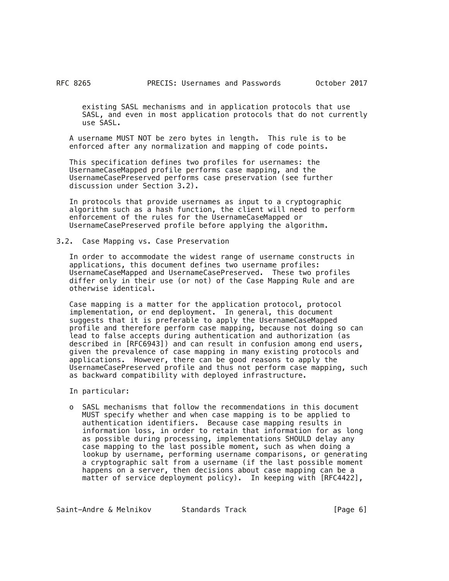existing SASL mechanisms and in application protocols that use SASL, and even in most application protocols that do not currently use SASL.

 A username MUST NOT be zero bytes in length. This rule is to be enforced after any normalization and mapping of code points.

 This specification defines two profiles for usernames: the UsernameCaseMapped profile performs case mapping, and the UsernameCasePreserved performs case preservation (see further discussion under Section 3.2).

 In protocols that provide usernames as input to a cryptographic algorithm such as a hash function, the client will need to perform enforcement of the rules for the UsernameCaseMapped or UsernameCasePreserved profile before applying the algorithm.

#### 3.2. Case Mapping vs. Case Preservation

 In order to accommodate the widest range of username constructs in applications, this document defines two username profiles: UsernameCaseMapped and UsernameCasePreserved. These two profiles differ only in their use (or not) of the Case Mapping Rule and are otherwise identical.

 Case mapping is a matter for the application protocol, protocol implementation, or end deployment. In general, this document suggests that it is preferable to apply the UsernameCaseMapped profile and therefore perform case mapping, because not doing so can lead to false accepts during authentication and authorization (as described in [RFC6943]) and can result in confusion among end users, given the prevalence of case mapping in many existing protocols and applications. However, there can be good reasons to apply the UsernameCasePreserved profile and thus not perform case mapping, such as backward compatibility with deployed infrastructure.

In particular:

 o SASL mechanisms that follow the recommendations in this document MUST specify whether and when case mapping is to be applied to authentication identifiers. Because case mapping results in information loss, in order to retain that information for as long as possible during processing, implementations SHOULD delay any case mapping to the last possible moment, such as when doing a lookup by username, performing username comparisons, or generating a cryptographic salt from a username (if the last possible moment happens on a server, then decisions about case mapping can be a matter of service deployment policy). In keeping with [RFC4422],

Saint-Andre & Melnikov 5tandards Track [Page 6]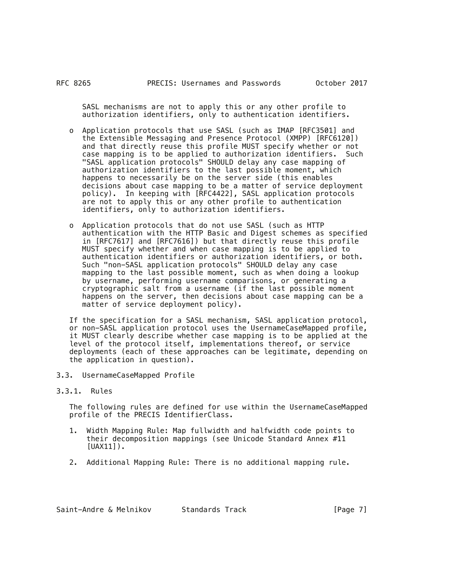SASL mechanisms are not to apply this or any other profile to authorization identifiers, only to authentication identifiers.

- o Application protocols that use SASL (such as IMAP [RFC3501] and the Extensible Messaging and Presence Protocol (XMPP) [RFC6120]) and that directly reuse this profile MUST specify whether or not case mapping is to be applied to authorization identifiers. Such "SASL application protocols" SHOULD delay any case mapping of authorization identifiers to the last possible moment, which happens to necessarily be on the server side (this enables decisions about case mapping to be a matter of service deployment policy). In keeping with [RFC4422], SASL application protocols are not to apply this or any other profile to authentication identifiers, only to authorization identifiers.
- o Application protocols that do not use SASL (such as HTTP authentication with the HTTP Basic and Digest schemes as specified in [RFC7617] and [RFC7616]) but that directly reuse this profile MUST specify whether and when case mapping is to be applied to authentication identifiers or authorization identifiers, or both. Such "non-SASL application protocols" SHOULD delay any case mapping to the last possible moment, such as when doing a lookup by username, performing username comparisons, or generating a cryptographic salt from a username (if the last possible moment happens on the server, then decisions about case mapping can be a matter of service deployment policy).

 If the specification for a SASL mechanism, SASL application protocol, or non-SASL application protocol uses the UsernameCaseMapped profile, it MUST clearly describe whether case mapping is to be applied at the level of the protocol itself, implementations thereof, or service deployments (each of these approaches can be legitimate, depending on the application in question).

- 3.3. UsernameCaseMapped Profile
- 3.3.1. Rules

 The following rules are defined for use within the UsernameCaseMapped profile of the PRECIS IdentifierClass.

- 1. Width Mapping Rule: Map fullwidth and halfwidth code points to their decomposition mappings (see Unicode Standard Annex #11 [UAX11]).
- 2. Additional Mapping Rule: There is no additional mapping rule.

| Saint-Andre & Melnikov |  | Standards Track | [Page 7] |
|------------------------|--|-----------------|----------|
|------------------------|--|-----------------|----------|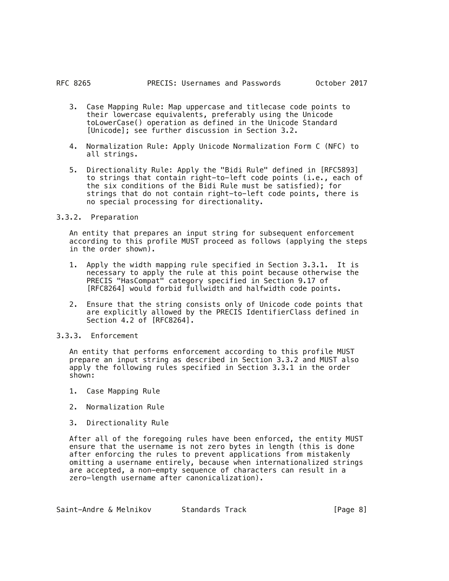- 3. Case Mapping Rule: Map uppercase and titlecase code points to their lowercase equivalents, preferably using the Unicode toLowerCase() operation as defined in the Unicode Standard [Unicode]; see further discussion in Section 3.2.
- 4. Normalization Rule: Apply Unicode Normalization Form C (NFC) to all strings.
- 5. Directionality Rule: Apply the "Bidi Rule" defined in [RFC5893] to strings that contain right-to-left code points (i.e., each of the six conditions of the Bidi Rule must be satisfied); for strings that do not contain right-to-left code points, there is no special processing for directionality.

## 3.3.2. Preparation

 An entity that prepares an input string for subsequent enforcement according to this profile MUST proceed as follows (applying the steps in the order shown).

- 1. Apply the width mapping rule specified in Section 3.3.1. It is necessary to apply the rule at this point because otherwise the PRECIS "HasCompat" category specified in Section 9.17 of [RFC8264] would forbid fullwidth and halfwidth code points.
- 2. Ensure that the string consists only of Unicode code points that are explicitly allowed by the PRECIS IdentifierClass defined in Section 4.2 of [RFC8264].
- 3.3.3. Enforcement

 An entity that performs enforcement according to this profile MUST prepare an input string as described in Section 3.3.2 and MUST also apply the following rules specified in Section 3.3.1 in the order shown:

- 1. Case Mapping Rule
- 2. Normalization Rule
- 3. Directionality Rule

 After all of the foregoing rules have been enforced, the entity MUST ensure that the username is not zero bytes in length (this is done after enforcing the rules to prevent applications from mistakenly omitting a username entirely, because when internationalized strings are accepted, a non-empty sequence of characters can result in a zero-length username after canonicalization).

Saint-Andre & Melnikov buttandards Track and the setting and setting the setting of the Society and Track and T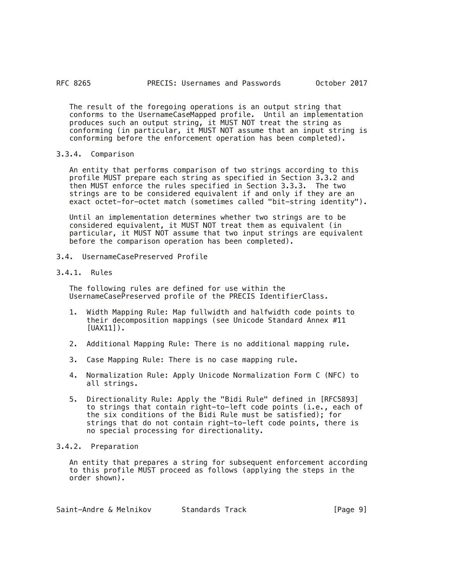The result of the foregoing operations is an output string that conforms to the UsernameCaseMapped profile. Until an implementation produces such an output string, it MUST NOT treat the string as conforming (in particular, it MUST NOT assume that an input string is conforming before the enforcement operation has been completed).

# 3.3.4. Comparison

 An entity that performs comparison of two strings according to this profile MUST prepare each string as specified in Section 3.3.2 and then MUST enforce the rules specified in Section 3.3.3. The two strings are to be considered equivalent if and only if they are an exact octet-for-octet match (sometimes called "bit-string identity").

 Until an implementation determines whether two strings are to be considered equivalent, it MUST NOT treat them as equivalent (in particular, it MUST NOT assume that two input strings are equivalent before the comparison operation has been completed).

- 3.4. UsernameCasePreserved Profile
- 3.4.1. Rules

 The following rules are defined for use within the UsernameCasePreserved profile of the PRECIS IdentifierClass.

- 1. Width Mapping Rule: Map fullwidth and halfwidth code points to their decomposition mappings (see Unicode Standard Annex #11  $[UAX11]$ .
- 2. Additional Mapping Rule: There is no additional mapping rule.
- 3. Case Mapping Rule: There is no case mapping rule.
- 4. Normalization Rule: Apply Unicode Normalization Form C (NFC) to all strings.
- 5. Directionality Rule: Apply the "Bidi Rule" defined in [RFC5893] to strings that contain right-to-left code points (i.e., each of the six conditions of the Bidi Rule must be satisfied); for strings that do not contain right-to-left code points, there is no special processing for directionality.

# 3.4.2. Preparation

 An entity that prepares a string for subsequent enforcement according to this profile MUST proceed as follows (applying the steps in the order shown).

| Saint-Andre & Melnikov | Standards Track |  | [Page 9] |  |
|------------------------|-----------------|--|----------|--|
|------------------------|-----------------|--|----------|--|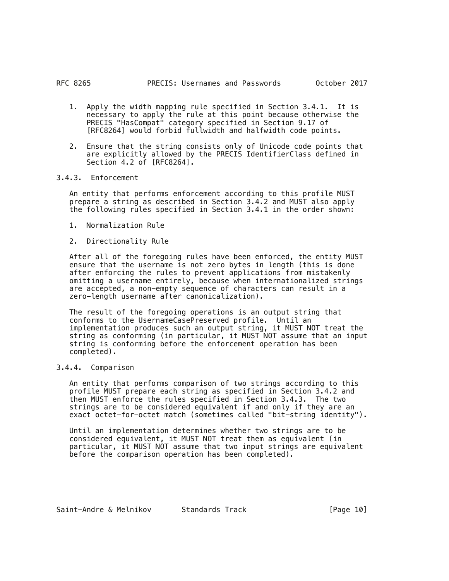- 1. Apply the width mapping rule specified in Section 3.4.1. It is necessary to apply the rule at this point because otherwise the PRECIS "HasCompat" category specified in Section 9.17 of [RFC8264] would forbid fullwidth and halfwidth code points.
- 2. Ensure that the string consists only of Unicode code points that are explicitly allowed by the PRECIS IdentifierClass defined in Section 4.2 of [RFC8264].

# 3.4.3. Enforcement

 An entity that performs enforcement according to this profile MUST prepare a string as described in Section 3.4.2 and MUST also apply the following rules specified in Section 3.4.1 in the order shown:

- 1. Normalization Rule
- 2. Directionality Rule

 After all of the foregoing rules have been enforced, the entity MUST ensure that the username is not zero bytes in length (this is done after enforcing the rules to prevent applications from mistakenly omitting a username entirely, because when internationalized strings are accepted, a non-empty sequence of characters can result in a zero-length username after canonicalization).

 The result of the foregoing operations is an output string that conforms to the UsernameCasePreserved profile. Until an implementation produces such an output string, it MUST NOT treat the string as conforming (in particular, it MUST NOT assume that an input string is conforming before the enforcement operation has been completed).

# 3.4.4. Comparison

 An entity that performs comparison of two strings according to this profile MUST prepare each string as specified in Section 3.4.2 and then MUST enforce the rules specified in Section 3.4.3. The two strings are to be considered equivalent if and only if they are an exact octet-for-octet match (sometimes called "bit-string identity").

 Until an implementation determines whether two strings are to be considered equivalent, it MUST NOT treat them as equivalent (in particular, it MUST NOT assume that two input strings are equivalent before the comparison operation has been completed).

Saint-Andre & Melnikov Standards Track [Page 10]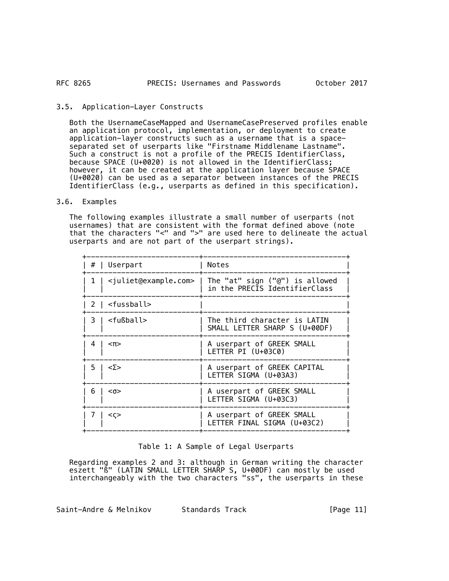## 3.5. Application-Layer Constructs

 Both the UsernameCaseMapped and UsernameCasePreserved profiles enable an application protocol, implementation, or deployment to create application-layer constructs such as a username that is a spaceseparated set of userparts like "Firstname Middlename Lastname". Such a construct is not a profile of the PRECIS IdentifierClass, because SPACE (U+0020) is not allowed in the IdentifierClass; however, it can be created at the application layer because SPACE (U+0020) can be used as a separator between instances of the PRECIS IdentifierClass (e.g., userparts as defined in this specification).

#### 3.6. Examples

 The following examples illustrate a small number of userparts (not usernames) that are consistent with the format defined above (note that the characters "<" and ">" are used here to delineate the actual userparts and are not part of the userpart strings).

| #   Userpart                                | <b>Notes</b>                                             |
|---------------------------------------------|----------------------------------------------------------|
| <juliet@example.com>  </juliet@example.com> | The "at" sign ("@") is allowed                           |
| 1                                           | in the PRECIS IdentifierClass                            |
| 2   <fussball></fussball>                   |                                                          |
| <fußball></fußball>                         | The third character is LATIN                             |
| 3 I                                         | SMALL LETTER SHARP S (U+00DF)                            |
| 4                                           | A userpart of GREEK SMALL                                |
| $<$ $\Pi$ >                                 | LETTER PI (U+03C0)                                       |
| <Σ>                                         | A userpart of GREEK CAPITAL                              |
| 5.                                          | LETTER SIGMA (U+03A3)                                    |
| 6                                           | A userpart of GREEK SMALL                                |
| $0$                                         | LETTER SIGMA (U+03C3)                                    |
| $<$ $\varsigma$ >                           | A userpart of GREEK SMALL<br>LETTER FINAL SIGMA (U+03C2) |

### Table 1: A Sample of Legal Userparts

 Regarding examples 2 and 3: although in German writing the character eszett "ß" (LATIN SMALL LETTER SHARP S, U+00DF) can mostly be used interchangeably with the two characters "ss", the userparts in these

Saint-Andre & Melnikov Standards Track [Page 11]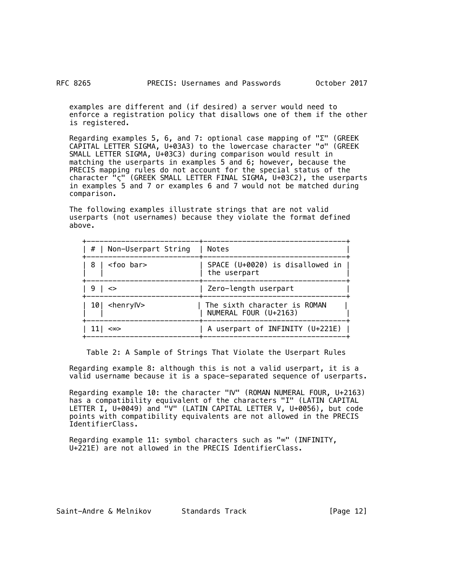examples are different and (if desired) a server would need to enforce a registration policy that disallows one of them if the other is registered.

Regarding examples 5, 6, and 7: optional case mapping of " $\Sigma$ " (GREEK CAPITAL LETTER SIGMA, U+03A3) to the lowercase character "σ" (GREEK SMALL LETTER SIGMA, U+03C3) during comparison would result in matching the userparts in examples 5 and 6; however, because the PRECIS mapping rules do not account for the special status of the character "ς" (GREEK SMALL LETTER FINAL SIGMA, U+03C2), the userparts in examples 5 and 7 or examples 6 and 7 would not be matched during comparison.

 The following examples illustrate strings that are not valid userparts (not usernames) because they violate the format defined above.

| #   Non-Userpart String   | Notes                                                 |  |
|---------------------------|-------------------------------------------------------|--|
| $8$   <foo bar=""></foo>  | SPACE (U+0020) is disallowed in<br>the userpart       |  |
| 9                         | Zero-length userpart                                  |  |
| $10$   $\le$ henryl $V$ > | The sixth character is ROMAN<br>NUMERAL FOUR (U+2163) |  |
| <∞>                       | A userpart of INFINITY (U+221E)                       |  |

Table 2: A Sample of Strings That Violate the Userpart Rules

 Regarding example 8: although this is not a valid userpart, it is a valid username because it is a space-separated sequence of userparts.

 Regarding example 10: the character "Ⅳ" (ROMAN NUMERAL FOUR, U+2163) has a compatibility equivalent of the characters "I" (LATIN CAPITAL LETTER I, U+0049) and "V" (LATIN CAPITAL LETTER V, U+0056), but code points with compatibility equivalents are not allowed in the PRECIS IdentifierClass.

 Regarding example 11: symbol characters such as "∞" (INFINITY, U+221E) are not allowed in the PRECIS IdentifierClass.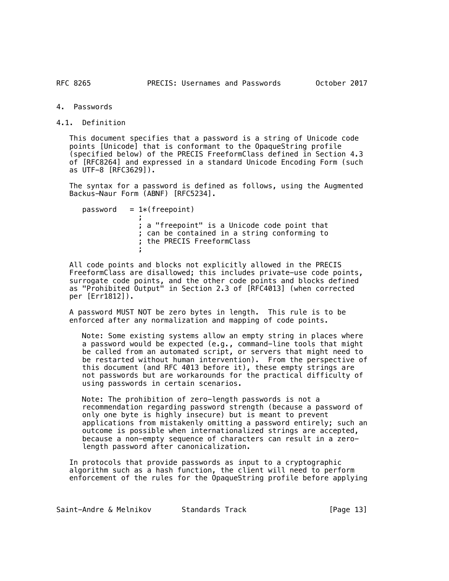RFC 8265

4. Passwords

4.1. Definition

 This document specifies that a password is a string of Unicode code points [Unicode] that is conformant to the OpaqueString profile (specified below) of the PRECIS FreeformClass defined in Section 4.3 of [RFC8264] and expressed in a standard Unicode Encoding Form (such as UTF-8 [RFC3629]).

 The syntax for a password is defined as follows, using the Augmented Backus-Naur Form (ABNF) [RFC5234].

 $password = 1*(freenoint)$  ; ; a "freepoint" is a Unicode code point that ; can be contained in a string conforming to ; the PRECIS FreeformClass ;

 All code points and blocks not explicitly allowed in the PRECIS FreeformClass are disallowed; this includes private-use code points, surrogate code points, and the other code points and blocks defined as "Prohibited Output" in Section 2.3 of [RFC4013] (when corrected per [Err1812]).

 A password MUST NOT be zero bytes in length. This rule is to be enforced after any normalization and mapping of code points.

 Note: Some existing systems allow an empty string in places where a password would be expected (e.g., command-line tools that might be called from an automated script, or servers that might need to be restarted without human intervention). From the perspective of this document (and RFC 4013 before it), these empty strings are not passwords but are workarounds for the practical difficulty of using passwords in certain scenarios.

 Note: The prohibition of zero-length passwords is not a recommendation regarding password strength (because a password of only one byte is highly insecure) but is meant to prevent applications from mistakenly omitting a password entirely; such an outcome is possible when internationalized strings are accepted, because a non-empty sequence of characters can result in a zerolength password after canonicalization.

 In protocols that provide passwords as input to a cryptographic algorithm such as a hash function, the client will need to perform enforcement of the rules for the OpaqueString profile before applying

Saint-Andre & Melnikov Standards Track [Page 13]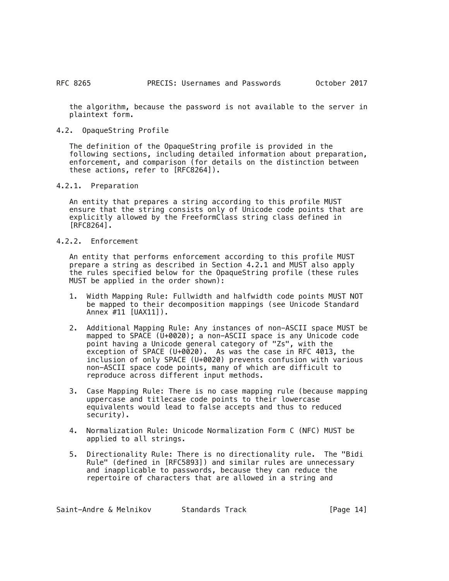the algorithm, because the password is not available to the server in plaintext form.

4.2. OpaqueString Profile

 The definition of the OpaqueString profile is provided in the following sections, including detailed information about preparation, enforcement, and comparison (for details on the distinction between these actions, refer to [RFC8264]).

4.2.1. Preparation

 An entity that prepares a string according to this profile MUST ensure that the string consists only of Unicode code points that are explicitly allowed by the FreeformClass string class defined in  $[RFC8264]$ .

4.2.2. Enforcement

 An entity that performs enforcement according to this profile MUST prepare a string as described in Section 4.2.1 and MUST also apply the rules specified below for the OpaqueString profile (these rules MUST be applied in the order shown):

- 1. Width Mapping Rule: Fullwidth and halfwidth code points MUST NOT be mapped to their decomposition mappings (see Unicode Standard Annex #11 [UAX11]).
- 2. Additional Mapping Rule: Any instances of non-ASCII space MUST be mapped to SPACE (U+0020); a non-ASCII space is any Unicode code point having a Unicode general category of "Zs", with the  $exce$ ption of SPACE (U+0020). As was the case in RFC 4013, the inclusion of only SPACE (U+0020) prevents confusion with various non-ASCII space code points, many of which are difficult to reproduce across different input methods.
- 3. Case Mapping Rule: There is no case mapping rule (because mapping uppercase and titlecase code points to their lowercase equivalents would lead to false accepts and thus to reduced security).
- 4. Normalization Rule: Unicode Normalization Form C (NFC) MUST be applied to all strings.
- 5. Directionality Rule: There is no directionality rule. The "Bidi Rule" (defined in [RFC5893]) and similar rules are unnecessary and inapplicable to passwords, because they can reduce the repertoire of characters that are allowed in a string and

Saint-Andre & Melnikov bitandards Track and The Standards (Page 14)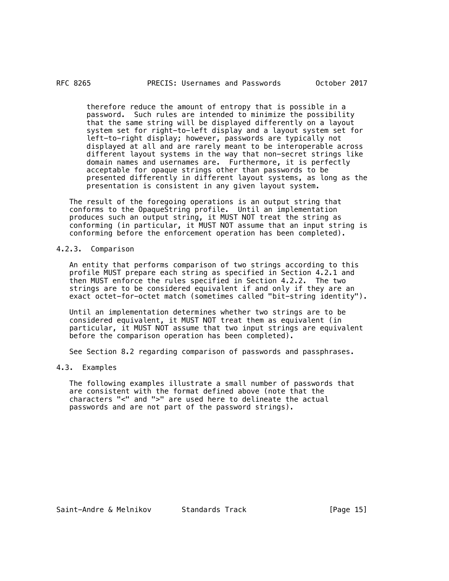#### RFC 8265

 therefore reduce the amount of entropy that is possible in a password. Such rules are intended to minimize the possibility that the same string will be displayed differently on a layout system set for right-to-left display and a layout system set for left-to-right display; however, passwords are typically not displayed at all and are rarely meant to be interoperable across different layout systems in the way that non-secret strings like domain names and usernames are. Furthermore, it is perfectly acceptable for opaque strings other than passwords to be presented differently in different layout systems, as long as the presentation is consistent in any given layout system.

 The result of the foregoing operations is an output string that conforms to the OpaqueString profile. Until an implementation produces such an output string, it MUST NOT treat the string as conforming (in particular, it MUST NOT assume that an input string is conforming before the enforcement operation has been completed).

4.2.3. Comparison

 An entity that performs comparison of two strings according to this profile MUST prepare each string as specified in Section 4.2.1 and then MUST enforce the rules specified in Section 4.2.2. The two strings are to be considered equivalent if and only if they are an exact octet-for-octet match (sometimes called "bit-string identity").

 Until an implementation determines whether two strings are to be considered equivalent, it MUST NOT treat them as equivalent (in particular, it MUST NOT assume that two input strings are equivalent before the comparison operation has been completed).

See Section 8.2 regarding comparison of passwords and passphrases.

# 4.3. Examples

 The following examples illustrate a small number of passwords that are consistent with the format defined above (note that the characters "<" and ">" are used here to delineate the actual passwords and are not part of the password strings).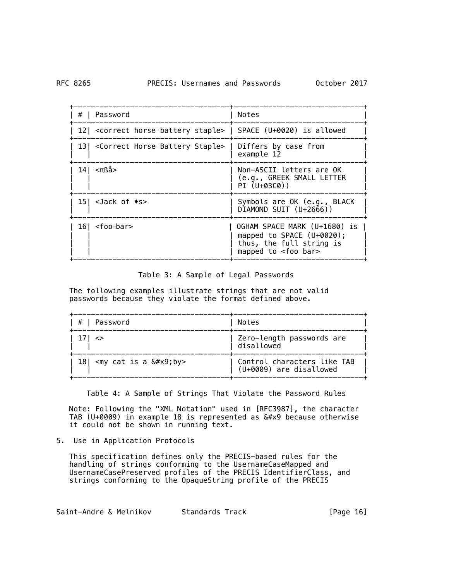| #   Password                                                                      | Notes                                                                                                                    |
|-----------------------------------------------------------------------------------|--------------------------------------------------------------------------------------------------------------------------|
| 12  <correct battery="" horse="" staple="">   SPACE (U+0020) is allowed</correct> |                                                                                                                          |
| 13  <correct battery="" horse="" staple="">   Differs by case from</correct>      | example 12                                                                                                               |
| $14$   $\leq$ πßå>                                                                | Non-ASCII letters are OK<br>(e.g., GREEK SMALL LETTER<br>PI (U+03C0))                                                    |
| $15$ < Jack of $\bullet$ s>                                                       | Symbols are OK (e.g., BLACK<br>DIAMOND SUIT (U+2666))                                                                    |
| $16$ <foo-bar></foo-bar>                                                          | OGHAM SPACE MARK (U+1680) is<br>mapped to SPACE $(U+0020)$ ;<br>thus, the full string is<br>mapped to <foo bar=""></foo> |

Table 3: A Sample of Legal Passwords

 The following examples illustrate strings that are not valid passwords because they violate the format defined above.

| #   Password                                 | Notes                                                  |
|----------------------------------------------|--------------------------------------------------------|
| $1/1$ <>                                     | Zero-length passwords are<br>disallowed                |
| 18   $\langle$ my cat is a $\&\#x9$ ; by $>$ | Control characters like TAB<br>(U+0009) are disallowed |

Table 4: A Sample of Strings That Violate the Password Rules

 Note: Following the "XML Notation" used in [RFC3987], the character TAB (U+0009) in example 18 is represented as  $& #x9$  because otherwise it could not be shown in running text.

5. Use in Application Protocols

 This specification defines only the PRECIS-based rules for the handling of strings conforming to the UsernameCaseMapped and UsernameCasePreserved profiles of the PRECIS IdentifierClass, and strings conforming to the OpaqueString profile of the PRECIS

Saint-Andre & Melnikov Standards Track [Page 16]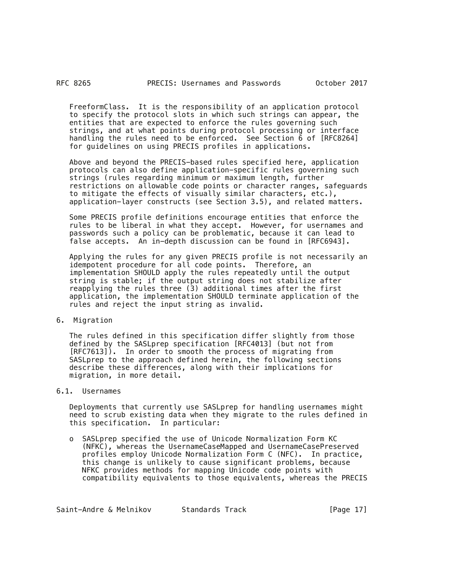FreeformClass. It is the responsibility of an application protocol to specify the protocol slots in which such strings can appear, the entities that are expected to enforce the rules governing such strings, and at what points during protocol processing or interface handling the rules need to be enforced. See Section 6 of [RFC8264] for guidelines on using PRECIS profiles in applications.

 Above and beyond the PRECIS-based rules specified here, application protocols can also define application-specific rules governing such strings (rules regarding minimum or maximum length, further restrictions on allowable code points or character ranges, safeguards to mitigate the effects of visually similar characters, etc.), application-layer constructs (see Section 3.5), and related matters.

 Some PRECIS profile definitions encourage entities that enforce the rules to be liberal in what they accept. However, for usernames and passwords such a policy can be problematic, because it can lead to false accepts. An in-depth discussion can be found in [RFC6943].

 Applying the rules for any given PRECIS profile is not necessarily an idempotent procedure for all code points. Therefore, an implementation SHOULD apply the rules repeatedly until the output string is stable; if the output string does not stabilize after reapplying the rules three (3) additional times after the first application, the implementation SHOULD terminate application of the rules and reject the input string as invalid.

### 6. Migration

 The rules defined in this specification differ slightly from those defined by the SASLprep specification [RFC4013] (but not from [RFC7613]). In order to smooth the process of migrating from SASLprep to the approach defined herein, the following sections describe these differences, along with their implications for migration, in more detail.

# 6.1. Usernames

 Deployments that currently use SASLprep for handling usernames might need to scrub existing data when they migrate to the rules defined in this specification. In particular:

 o SASLprep specified the use of Unicode Normalization Form KC (NFKC), whereas the UsernameCaseMapped and UsernameCasePreserved profiles employ Unicode Normalization Form C (NFC). In practice, this change is unlikely to cause significant problems, because NFKC provides methods for mapping Unicode code points with compatibility equivalents to those equivalents, whereas the PRECIS

Saint-Andre & Melnikov 5tandards Track 1994 [Page 17]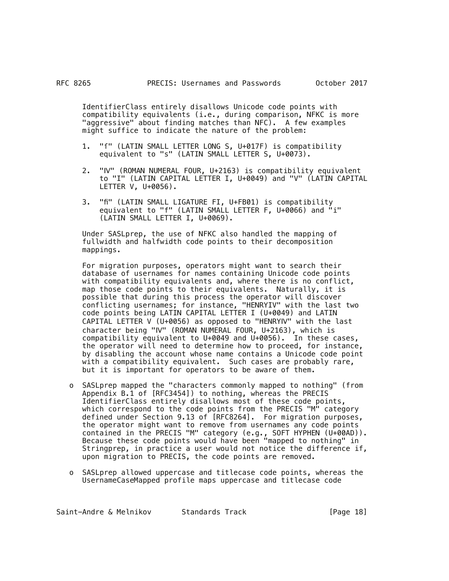IdentifierClass entirely disallows Unicode code points with compatibility equivalents (i.e., during comparison, NFKC is more "aggressive" about finding matches than NFC). A few examples might suffice to indicate the nature of the problem:

- 1. "f" (LATIN SMALL LETTER LONG S, U+017F) is compatibility equivalent to "s" (LATIN SMALL LETTER S, U+0073).
- 2. "Ⅳ" (ROMAN NUMERAL FOUR, U+2163) is compatibility equivalent to "I" (LATIN CAPITAL LETTER I, U+0049) and "V" (LATIN CAPITAL LETTER V, U+0056).
- 3. "fi" (LATIN SMALL LIGATURE FI, U+FB01) is compatibility equivalent to "f" (LATIN SMALL LETTER F, U+0066) and "i" (LATIN SMALL LETTER I, U+0069).

 Under SASLprep, the use of NFKC also handled the mapping of fullwidth and halfwidth code points to their decomposition mappings.

 For migration purposes, operators might want to search their database of usernames for names containing Unicode code points with compatibility equivalents and, where there is no conflict, map those code points to their equivalents. Naturally, it is possible that during this process the operator will discover conflicting usernames; for instance, "HENRYIV" with the last two code points being LATIN CAPITAL LETTER I (U+0049) and LATIN CAPITAL LETTER V (U+0056) as opposed to "HENRYⅣ" with the last character being "Ⅳ" (ROMAN NUMERAL FOUR, U+2163), which is compatibility equivalent to U+0049 and U+0056). In these cases, the operator will need to determine how to proceed, for instance, by disabling the account whose name contains a Unicode code point with a compatibility equivalent. Such cases are probably rare, but it is important for operators to be aware of them.

- o SASLprep mapped the "characters commonly mapped to nothing" (from Appendix B.1 of [RFC3454]) to nothing, whereas the PRECIS IdentifierClass entirely disallows most of these code points, which correspond to the code points from the PRECIS "M" category defined under Section 9.13 of [RFC8264]. For migration purposes, the operator might want to remove from usernames any code points contained in the PRECIS "M" category (e.g., SOFT HYPHEN (U+00AD)). Because these code points would have been "mapped to nothing" in Stringprep, in practice a user would not notice the difference if, upon migration to PRECIS, the code points are removed.
- o SASLprep allowed uppercase and titlecase code points, whereas the UsernameCaseMapped profile maps uppercase and titlecase code

Saint-Andre & Melnikov bitandards Track Track [Page 18]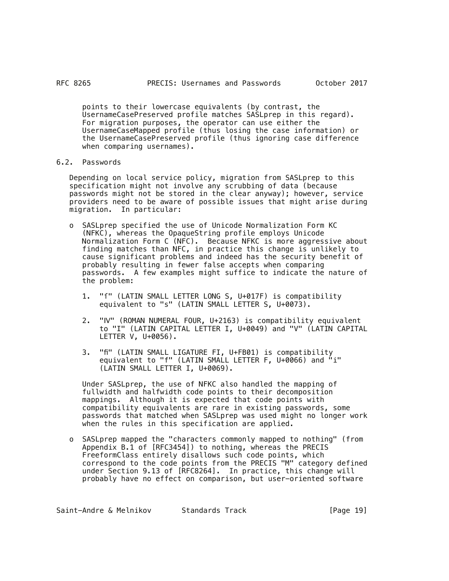points to their lowercase equivalents (by contrast, the UsernameCasePreserved profile matches SASLprep in this regard). For migration purposes, the operator can use either the UsernameCaseMapped profile (thus losing the case information) or the UsernameCasePreserved profile (thus ignoring case difference when comparing usernames).

#### 6.2. Passwords

 Depending on local service policy, migration from SASLprep to this specification might not involve any scrubbing of data (because passwords might not be stored in the clear anyway); however, service providers need to be aware of possible issues that might arise during migration. In particular:

- o SASLprep specified the use of Unicode Normalization Form KC (NFKC), whereas the OpaqueString profile employs Unicode Normalization Form C (NFC). Because NFKC is more aggressive about finding matches than NFC, in practice this change is unlikely to cause significant problems and indeed has the security benefit of probably resulting in fewer false accepts when comparing passwords. A few examples might suffice to indicate the nature of the problem:
	- 1. "f" (LATIN SMALL LETTER LONG S, U+017F) is compatibility equivalent to "s" (LATIN SMALL LETTER S, U+0073).
	- 2. "Ⅳ" (ROMAN NUMERAL FOUR, U+2163) is compatibility equivalent to "I" (LATIN CAPITAL LETTER I, U+0049) and "V" (LATIN CAPITAL LETTER V, U+0056).
	- 3. "fi" (LATIN SMALL LIGATURE FI, U+FB01) is compatibility equivalent to "f" (LATIN SMALL LETTER F, U+0066) and "i" (LATIN SMALL LETTER I, U+0069).

 Under SASLprep, the use of NFKC also handled the mapping of fullwidth and halfwidth code points to their decomposition mappings. Although it is expected that code points with compatibility equivalents are rare in existing passwords, some passwords that matched when SASLprep was used might no longer work when the rules in this specification are applied.

 o SASLprep mapped the "characters commonly mapped to nothing" (from Appendix B.1 of [RFC3454]) to nothing, whereas the PRECIS FreeformClass entirely disallows such code points, which correspond to the code points from the PRECIS "M" category defined under Section 9.13 of [RFC8264]. In practice, this change will probably have no effect on comparison, but user-oriented software

Saint-Andre & Melnikov 5tandards Track 191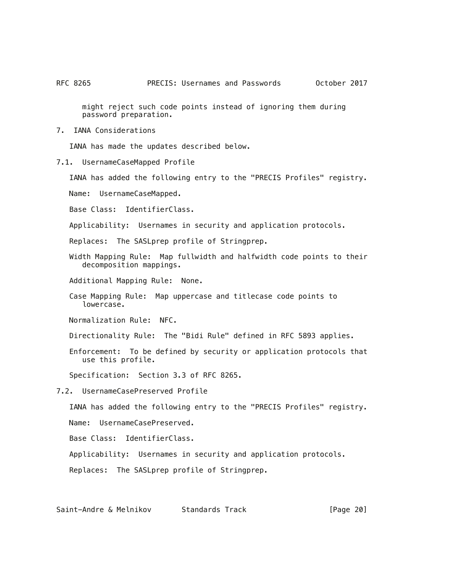might reject such code points instead of ignoring them during password preparation.

7. IANA Considerations

IANA has made the updates described below.

7.1. UsernameCaseMapped Profile

IANA has added the following entry to the "PRECIS Profiles" registry.

Name: UsernameCaseMapped.

Base Class: IdentifierClass.

Applicability: Usernames in security and application protocols.

Replaces: The SASLprep profile of Stringprep.

 Width Mapping Rule: Map fullwidth and halfwidth code points to their decomposition mappings.

Additional Mapping Rule: None.

 Case Mapping Rule: Map uppercase and titlecase code points to lowercase.

Normalization Rule: NFC.

Directionality Rule: The "Bidi Rule" defined in RFC 5893 applies.

 Enforcement: To be defined by security or application protocols that use this profile.

Specification: Section 3.3 of RFC 8265.

7.2. UsernameCasePreserved Profile

IANA has added the following entry to the "PRECIS Profiles" registry.

Name: UsernameCasePreserved.

Base Class: IdentifierClass.

Applicability: Usernames in security and application protocols.

Replaces: The SASLprep profile of Stringprep.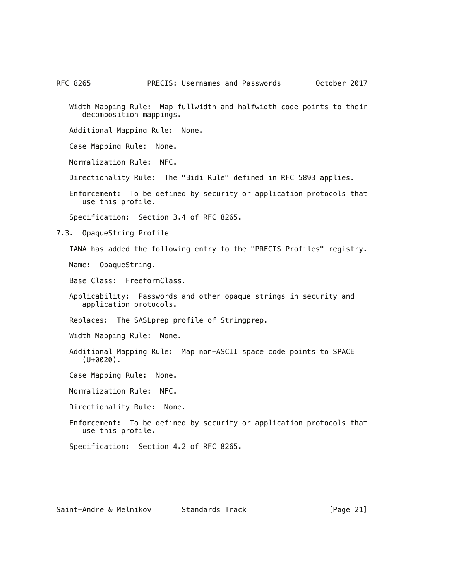RFC 8265 **PRECIS: Usernames and Passwords** October 2017

 Width Mapping Rule: Map fullwidth and halfwidth code points to their decomposition mappings.

Additional Mapping Rule: None.

Case Mapping Rule: None.

Normalization Rule: NFC.

Directionality Rule: The "Bidi Rule" defined in RFC 5893 applies.

 Enforcement: To be defined by security or application protocols that use this profile.

Specification: Section 3.4 of RFC 8265.

7.3. OpaqueString Profile

IANA has added the following entry to the "PRECIS Profiles" registry.

Name: OpaqueString.

Base Class: FreeformClass.

 Applicability: Passwords and other opaque strings in security and application protocols.

Replaces: The SASLprep profile of Stringprep.

Width Mapping Rule: None.

 Additional Mapping Rule: Map non-ASCII space code points to SPACE (U+0020).

Case Mapping Rule: None.

Normalization Rule: NFC.

Directionality Rule: None.

 Enforcement: To be defined by security or application protocols that use this profile.

Specification: Section 4.2 of RFC 8265.

Saint-Andre & Melnikov 5tandards Track 1994 [Page 21]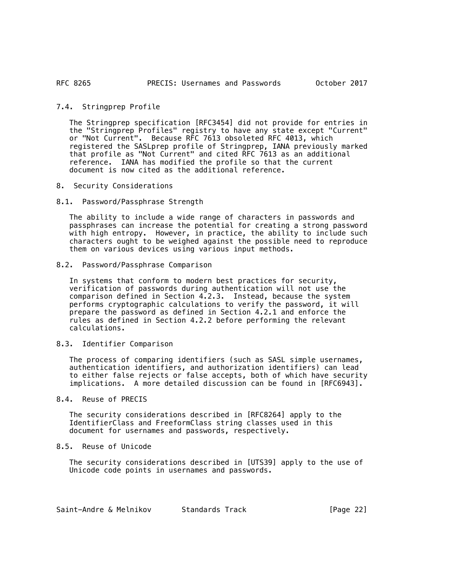#### 7.4. Stringprep Profile

 The Stringprep specification [RFC3454] did not provide for entries in the "Stringprep Profiles" registry to have any state except "Current" or "Not Current". Because RFC 7613 obsoleted RFC 4013, which registered the SASLprep profile of Stringprep, IANA previously marked that profile as "Not Current" and cited RFC 7613 as an additional reference. IANA has modified the profile so that the current document is now cited as the additional reference.

8. Security Considerations

### 8.1. Password/Passphrase Strength

 The ability to include a wide range of characters in passwords and passphrases can increase the potential for creating a strong password with high entropy. However, in practice, the ability to include such characters ought to be weighed against the possible need to reproduce them on various devices using various input methods.

#### 8.2. Password/Passphrase Comparison

 In systems that conform to modern best practices for security, verification of passwords during authentication will not use the comparison defined in Section 4.2.3. Instead, because the system performs cryptographic calculations to verify the password, it will prepare the password as defined in Section 4.2.1 and enforce the rules as defined in Section 4.2.2 before performing the relevant calculations.

#### 8.3. Identifier Comparison

 The process of comparing identifiers (such as SASL simple usernames, authentication identifiers, and authorization identifiers) can lead to either false rejects or false accepts, both of which have security implications. A more detailed discussion can be found in [RFC6943].

#### 8.4. Reuse of PRECIS

 The security considerations described in [RFC8264] apply to the IdentifierClass and FreeformClass string classes used in this document for usernames and passwords, respectively.

### 8.5. Reuse of Unicode

 The security considerations described in [UTS39] apply to the use of Unicode code points in usernames and passwords.

| Saint-Andre & Melnikov | Standards Track | [Page 22] |
|------------------------|-----------------|-----------|
|------------------------|-----------------|-----------|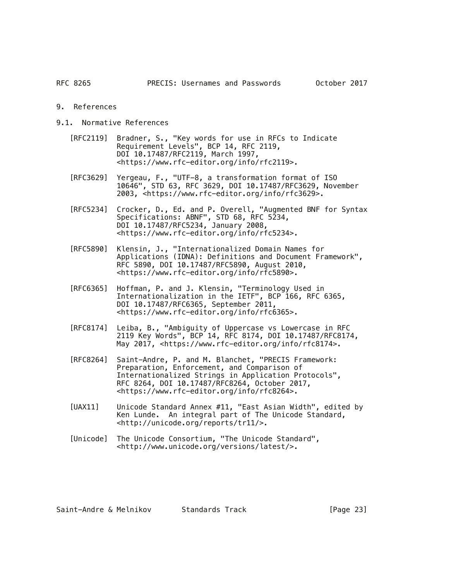- 9. References
- 9.1. Normative References
	- [RFC2119] Bradner, S., "Key words for use in RFCs to Indicate Requirement Levels", BCP 14, RFC 2119, DOI 10.17487/RFC2119, March 1997, <https://www.rfc-editor.org/info/rfc2119>.
	- [RFC3629] Yergeau, F., "UTF-8, a transformation format of ISO 10646", STD 63, RFC 3629, DOI 10.17487/RFC3629, November 2003, <https://www.rfc-editor.org/info/rfc3629>.
	- [RFC5234] Crocker, D., Ed. and P. Overell, "Augmented BNF for Syntax Specifications: ABNF", STD 68, RFC 5234, DOI 10.17487/RFC5234, January 2008, <https://www.rfc-editor.org/info/rfc5234>.
		- [RFC5890] Klensin, J., "Internationalized Domain Names for Applications (IDNA): Definitions and Document Framework", RFC 5890, DOI 10.17487/RFC5890, August 2010, <https://www.rfc-editor.org/info/rfc5890>.
		- [RFC6365] Hoffman, P. and J. Klensin, "Terminology Used in Internationalization in the IETF", BCP 166, RFC 6365, DOI 10.17487/RFC6365, September 2011, <https://www.rfc-editor.org/info/rfc6365>.
		- [RFC8174] Leiba, B., "Ambiguity of Uppercase vs Lowercase in RFC 2119 Key Words", BCP 14, RFC 8174, DOI 10.17487/RFC8174, May 2017, <https://www.rfc-editor.org/info/rfc8174>.
		- [RFC8264] Saint-Andre, P. and M. Blanchet, "PRECIS Framework: Preparation, Enforcement, and Comparison of Internationalized Strings in Application Protocols", RFC 8264, DOI 10.17487/RFC8264, October 2017, <https://www.rfc-editor.org/info/rfc8264>.
		- [UAX11] Unicode Standard Annex #11, "East Asian Width", edited by Ken Lunde. An integral part of The Unicode Standard, <http://unicode.org/reports/tr11/>.
		- [Unicode] The Unicode Consortium, "The Unicode Standard", <http://www.unicode.org/versions/latest/>.

Saint-Andre & Melnikov bitandards Track and [Page 23]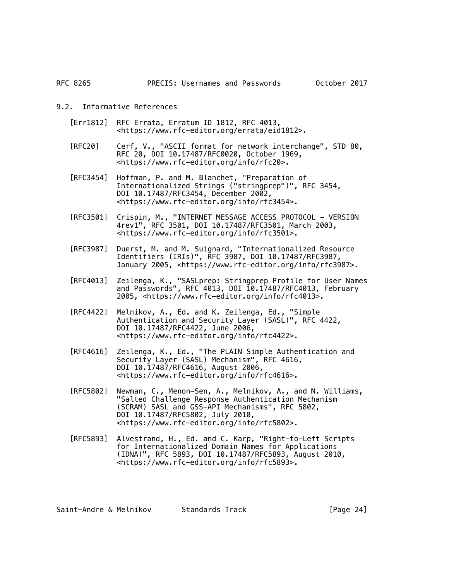### 9.2. Informative References

- [Err1812] RFC Errata, Erratum ID 1812, RFC 4013, <https://www.rfc-editor.org/errata/eid1812>.
- [RFC20] Cerf, V., "ASCII format for network interchange", STD 80, RFC 20, DOI 10.17487/RFC0020, October 1969, <https://www.rfc-editor.org/info/rfc20>.
- [RFC3454] Hoffman, P. and M. Blanchet, "Preparation of Internationalized Strings ("stringprep")", RFC 3454, DOI 10.17487/RFC3454, December 2002, <https://www.rfc-editor.org/info/rfc3454>.
- [RFC3501] Crispin, M., "INTERNET MESSAGE ACCESS PROTOCOL VERSION 4rev1", RFC 3501, DOI 10.17487/RFC3501, March 2003, <https://www.rfc-editor.org/info/rfc3501>.
	- [RFC3987] Duerst, M. and M. Suignard, "Internationalized Resource Identifiers (IRIs)", RFC 3987, DOI 10.17487/RFC3987, January 2005, <https://www.rfc-editor.org/info/rfc3987>.
	- [RFC4013] Zeilenga, K., "SASLprep: Stringprep Profile for User Names and Passwords", RFC 4013, DOI 10.17487/RFC4013, February 2005, <https://www.rfc-editor.org/info/rfc4013>.
	- [RFC4422] Melnikov, A., Ed. and K. Zeilenga, Ed., "Simple Authentication and Security Layer (SASL)", RFC 4422, DOI 10.17487/RFC4422, June 2006, <https://www.rfc-editor.org/info/rfc4422>.
	- [RFC4616] Zeilenga, K., Ed., "The PLAIN Simple Authentication and Security Layer (SASL) Mechanism", RFC 4616, DOI 10.17487/RFC4616, August 2006, <https://www.rfc-editor.org/info/rfc4616>.
- [RFC5802] Newman, C., Menon-Sen, A., Melnikov, A., and N. Williams, "Salted Challenge Response Authentication Mechanism (SCRAM) SASL and GSS-API Mechanisms", RFC 5802, DOI 10.17487/RFC5802, July 2010, <https://www.rfc-editor.org/info/rfc5802>.
	- [RFC5893] Alvestrand, H., Ed. and C. Karp, "Right-to-Left Scripts for Internationalized Domain Names for Applications (IDNA)", RFC 5893, DOI 10.17487/RFC5893, August 2010, <https://www.rfc-editor.org/info/rfc5893>.

Saint-Andre & Melnikov Standards Track [Page 24]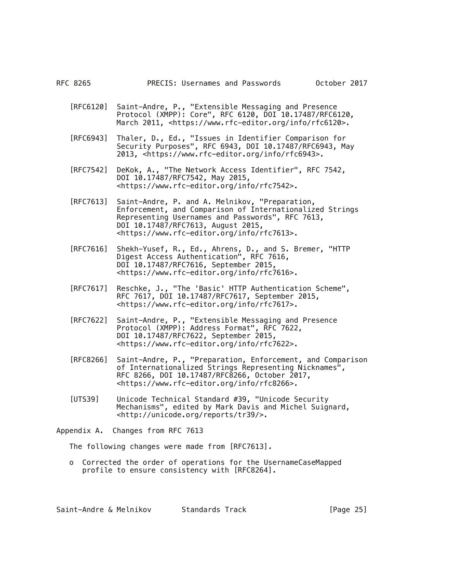- [RFC6120] Saint-Andre, P., "Extensible Messaging and Presence Protocol (XMPP): Core", RFC 6120, DOI 10.17487/RFC6120, March 2011, <https://www.rfc-editor.org/info/rfc6120>.
- [RFC6943] Thaler, D., Ed., "Issues in Identifier Comparison for Security Purposes", RFC 6943, DOI 10.17487/RFC6943, May 2013, <https://www.rfc-editor.org/info/rfc6943>.
- [RFC7542] DeKok, A., "The Network Access Identifier", RFC 7542, DOI 10.17487/RFC7542, May 2015, <https://www.rfc-editor.org/info/rfc7542>.
- [RFC7613] Saint-Andre, P. and A. Melnikov, "Preparation, Enforcement, and Comparison of Internationalized Strings Representing Usernames and Passwords", RFC 7613, DOI 10.17487/RFC7613, August 2015, <https://www.rfc-editor.org/info/rfc7613>.
- [RFC7616] Shekh-Yusef, R., Ed., Ahrens, D., and S. Bremer, "HTTP Digest Access Authentication", RFC 7616, DOI 10.17487/RFC7616, September 2015, <https://www.rfc-editor.org/info/rfc7616>.
- [RFC7617] Reschke, J., "The 'Basic' HTTP Authentication Scheme", RFC 7617, DOI 10.17487/RFC7617, September 2015, <https://www.rfc-editor.org/info/rfc7617>.
- [RFC7622] Saint-Andre, P., "Extensible Messaging and Presence Protocol (XMPP): Address Format", RFC 7622, DOI 10.17487/RFC7622, September 2015, <https://www.rfc-editor.org/info/rfc7622>.
- [RFC8266] Saint-Andre, P., "Preparation, Enforcement, and Comparison of Internationalized Strings Representing Nicknames", RFC 8266, DOI 10.17487/RFC8266, October 2017, <https://www.rfc-editor.org/info/rfc8266>.
- [UTS39] Unicode Technical Standard #39, "Unicode Security Mechanisms", edited by Mark Davis and Michel Suignard, <http://unicode.org/reports/tr39/>.

Appendix A. Changes from RFC 7613

The following changes were made from [RFC7613].

 o Corrected the order of operations for the UsernameCaseMapped profile to ensure consistency with [RFC8264].

Saint-Andre & Melnikov buttandards Track buttan (Page 25)